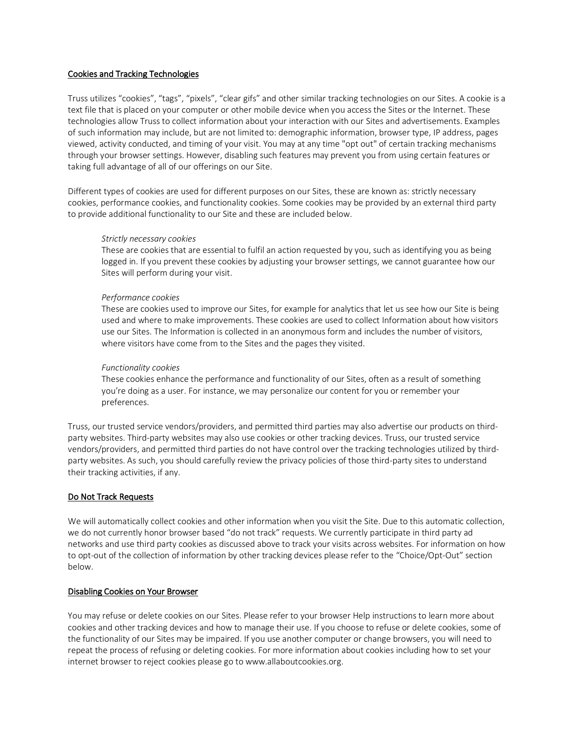### Cookies and Tracking Technologies

Truss utilizes "cookies", "tags", "pixels", "clear gifs" and other similar tracking technologies on our Sites. A cookie is a text file that is placed on your computer or other mobile device when you access the Sites or the Internet. These technologies allow Truss to collect information about your interaction with our Sites and advertisements. Examples of such information may include, but are not limited to: demographic information, browser type, IP address, pages viewed, activity conducted, and timing of your visit. You may at any time "opt out" of certain tracking mechanisms through your browser settings. However, disabling such features may prevent you from using certain features or taking full advantage of all of our offerings on our Site.

Different types of cookies are used for different purposes on our Sites, these are known as: strictly necessary cookies, performance cookies, and functionality cookies. Some cookies may be provided by an external third party to provide additional functionality to our Site and these are included below.

#### *Strictly necessary cookies*

These are cookies that are essential to fulfil an action requested by you, such as identifying you as being logged in. If you prevent these cookies by adjusting your browser settings, we cannot guarantee how our Sites will perform during your visit.

### *Performance cookies*

These are cookies used to improve our Sites, for example for analytics that let us see how our Site is being used and where to make improvements. These cookies are used to collect Information about how visitors use our Sites. The Information is collected in an anonymous form and includes the number of visitors, where visitors have come from to the Sites and the pages they visited.

### *Functionality cookies*

These cookies enhance the performance and functionality of our Sites, often as a result of something you're doing as a user. For instance, we may personalize our content for you or remember your preferences.

Truss, our trusted service vendors/providers, and permitted third parties may also advertise our products on thirdparty websites. Third-party websites may also use cookies or other tracking devices. Truss, our trusted service vendors/providers, and permitted third parties do not have control over the tracking technologies utilized by thirdparty websites. As such, you should carefully review the privacy policies of those third-party sites to understand their tracking activities, if any.

## Do Not Track Requests

We will automatically collect cookies and other information when you visit the Site. Due to this automatic collection, we do not currently honor browser based "do not track" requests. We currently participate in third party ad networks and use third party cookies as discussed above to track your visits across websites. For information on how to opt-out of the collection of information by other tracking devices please refer to the "Choice/Opt-Out" section below.

## Disabling Cookies on Your Browser

You may refuse or delete cookies on our Sites. Please refer to your browser Help instructions to learn more about cookies and other tracking devices and how to manage their use. If you choose to refuse or delete cookies, some of the functionality of our Sites may be impaired. If you use another computer or change browsers, you will need to repeat the process of refusing or deleting cookies. For more information about cookies including how to set your internet browser to reject cookies please go to www.allaboutcookies.org.